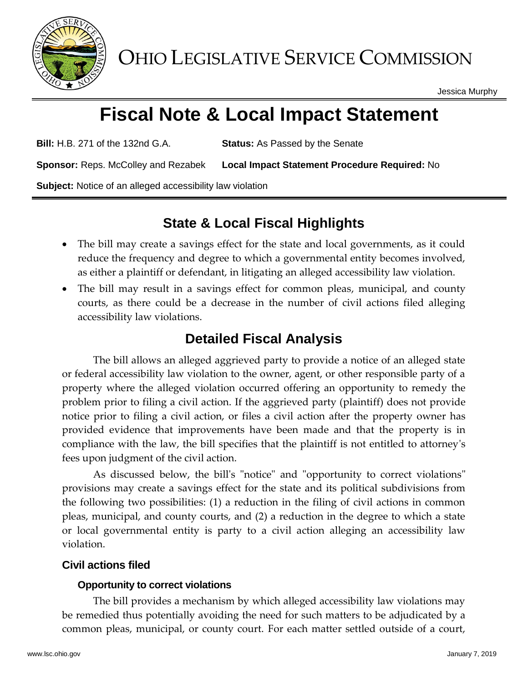

OHIO LEGISLATIVE SERVICE COMMISSION

Jessica Murphy

# **Fiscal Note & Local Impact Statement**

**Bill:** H.B. 271 of the 132nd G.A. **Status:** As Passed by the Senate

**Sponsor:** Reps. McColley and Rezabek **Local Impact Statement Procedure Required:** No

**Subject:** Notice of an alleged accessibility law violation

## **State & Local Fiscal Highlights**

- The bill may create a savings effect for the state and local governments, as it could reduce the frequency and degree to which a governmental entity becomes involved, as either a plaintiff or defendant, in litigating an alleged accessibility law violation.
- The bill may result in a savings effect for common pleas, municipal, and county courts, as there could be a decrease in the number of civil actions filed alleging accessibility law violations.

## **Detailed Fiscal Analysis**

The bill allows an alleged aggrieved party to provide a notice of an alleged state or federal accessibility law violation to the owner, agent, or other responsible party of a property where the alleged violation occurred offering an opportunity to remedy the problem prior to filing a civil action. If the aggrieved party (plaintiff) does not provide notice prior to filing a civil action, or files a civil action after the property owner has provided evidence that improvements have been made and that the property is in compliance with the law, the bill specifies that the plaintiff is not entitled to attorney's fees upon judgment of the civil action.

As discussed below, the bill's "notice" and "opportunity to correct violations" provisions may create a savings effect for the state and its political subdivisions from the following two possibilities: (1) a reduction in the filing of civil actions in common pleas, municipal, and county courts, and (2) a reduction in the degree to which a state or local governmental entity is party to a civil action alleging an accessibility law violation.

### **Civil actions filed**

### **Opportunity to correct violations**

The bill provides a mechanism by which alleged accessibility law violations may be remedied thus potentially avoiding the need for such matters to be adjudicated by a common pleas, municipal, or county court. For each matter settled outside of a court,